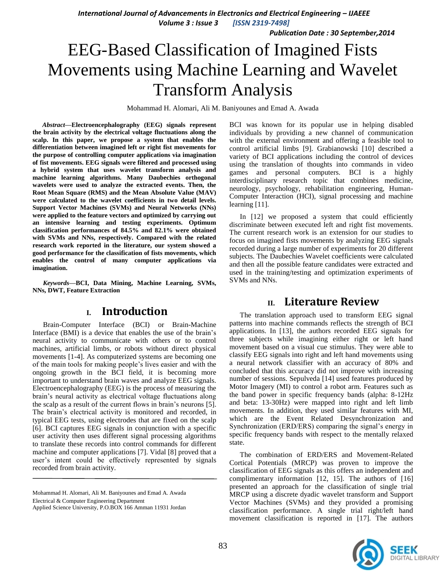*International Journal of Advancements in Electronics and Electrical Engineering – IJAEEE* 

*Volume 3 : Issue 3 [ISSN 2319-7498]*

*Publication Date : 30 September,2014*

# EEG-Based Classification of Imagined Fists Movements using Machine Learning and Wavelet Transform Analysis

Mohammad H. Alomari, Ali M. Baniyounes and Emad A. Awada

*Abstract***—Electroencephalography (EEG) signals represent the brain activity by the electrical voltage fluctuations along the scalp. In this paper, we propose a system that enables the differentiation between imagined left or right fist movements for the purpose of controlling computer applications via imagination of fist movements. EEG signals were filtered and processed using a hybrid system that uses wavelet transform analysis and machine learning algorithms. Many Daubechies orthogonal wavelets were used to analyze the extracted events. Then, the Root Mean Square (RMS) and the Mean Absolute Value (MAV) were calculated to the wavelet coefficients in two detail levels. Support Vector Machines (SVMs) and Neural Networks (NNs) were applied to the feature vectors and optimized by carrying out an intensive learning and testing experiments. Optimum classification performances of 84.5% and 82.1% were obtained with SVMs and NNs, respectively. Compared with the related research work reported in the literature, our system showed a good performance for the classification of fists movements, which enables the control of many computer applications via imagination.**

*Keywords—***BCI, Data Mining, Machine Learning, SVMs, NNs, DWT, Feature Extraction**

# **I. Introduction**

Brain-Computer Interface (BCI) or Brain-Machine Interface (BMI) is a device that enables the use of the brain's neural activity to communicate with others or to control machines, artificial limbs, or robots without direct physical movements [\[1-4\]](#page-3-0). As computerized systems are becoming one of the main tools for making people's lives easier and with the ongoing growth in the BCI field, it is becoming more important to understand brain waves and analyze EEG signals. Electroencephalography (EEG) is the process of measuring the brain's neural activity as electrical voltage fluctuations along the scalp as a result of the current flows in brain's neurons [\[5\]](#page-3-1). The brain's electrical activity is monitored and recorded, in typical EEG tests, using electrodes that are fixed on the scalp [\[6\]](#page-3-2). BCI captures EEG signals in conjunction with a specific user activity then uses different signal processing algorithms to translate these records into control commands for different machine and computer applications [\[7\]](#page-3-3). [Vidal \[8\]](#page-3-4) proved that a user's intent could be effectively represented by signals recorded from brain activity.

BCI was known for its popular use in helping disabled individuals by providing a new channel of communication with the external environment and offering a feasible tool to control artificial limbs [\[9\]](#page-3-5). [Grabianowski \[10\]](#page-3-6) described a variety of BCI applications including the control of devices using the translation of thoughts into commands in video games and personal computers. BCI is a highly interdisciplinary research topic that combines medicine, neurology, psychology, rehabilitation engineering, Human-Computer Interaction (HCI), signal processing and machine learning [\[11\]](#page-3-7).

In [\[12\]](#page-4-0) we proposed a system that could efficiently discriminate between executed left and right fist movements. The current research work is an extension for our studies to focus on imagined fists movements by analyzing EEG signals recorded during a large number of experiments for 20 different subjects. The Daubechies Wavelet coefficients were calculated and then all the possible feature candidates were extracted and used in the training/testing and optimization experiments of SVMs and NNs.

# **II. Literature Review**

The translation approach used to transform EEG signal patterns into machine commands reflects the strength of BCI applications. In [\[13\]](#page-4-1), the authors recorded EEG signals for three subjects while imagining either right or left hand movement based on a visual cue stimulus. They were able to classify EEG signals into right and left hand movements using a neural network classifier with an accuracy of 80% and concluded that this accuracy did not improve with increasing number of sessions. [Sepulveda \[14\]](#page-4-2) used features produced by Motor Imagery (MI) to control a robot arm. Features such as the band power in specific frequency bands (alpha: 8-12Hz and beta: 13-30Hz) were mapped into right and left limb movements. In addition, they used similar features with MI, which are the Event Related Desynchronization and Synchronization (ERD/ERS) comparing the signal's energy in specific frequency bands with respect to the mentally relaxed state.

The combination of ERD/ERS and Movement-Related Cortical Potentials (MRCP) was proven to improve the classification of EEG signals as this offers an independent and complimentary information [\[12,](#page-4-0) [15\]](#page-4-3). The authors of [\[16\]](#page-4-4) presented an approach for the classification of single trial MRCP using a discrete dyadic wavelet transform and Support Vector Machines (SVMs) and they provided a promising classification performance. A single trial right/left hand movement classification is reported in [\[17\]](#page-4-5). The authors



Mohammad H. Alomari, Ali M. Baniyounes and Emad A. Awada Electrical & Computer Engineering Department Applied Science University, P.O.BOX 166 Amman 11931 Jordan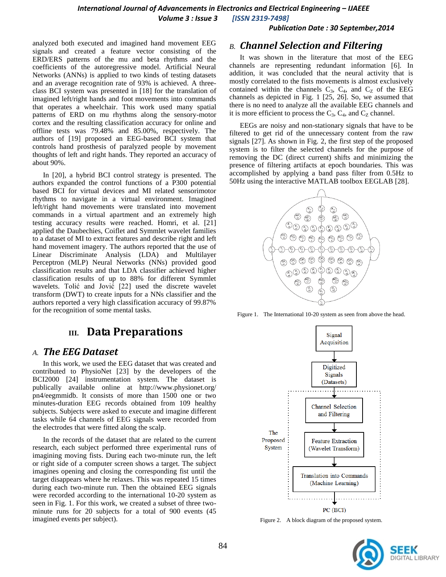*Publication Date : 30 September,2014*

analyzed both executed and imagined hand movement EEG signals and created a feature vector consisting of the ERD/ERS patterns of the mu and beta rhythms and the coefficients of the autoregressive model. Artificial Neural Networks (ANNs) is applied to two kinds of testing datasets and an average recognition rate of 93% is achieved. A threeclass BCI system was presented in [\[18\]](#page-4-6) for the translation of imagined left/right hands and foot movements into commands that operates a wheelchair. This work used many spatial patterns of ERD on mu rhythms along the sensory-motor cortex and the resulting classification accuracy for online and offline tests was 79.48% and 85.00%, respectively. The authors of [\[19\]](#page-4-7) proposed an EEG-based BCI system that controls hand prosthesis of paralyzed people by movement thoughts of left and right hands. They reported an accuracy of about 90%.

In [\[20\]](#page-4-8), a hybrid BCI control strategy is presented. The authors expanded the control functions of a P300 potential based BCI for virtual devices and MI related sensorimotor rhythms to navigate in a virtual environment. Imagined left/right hand movements were translated into movement commands in a virtual apartment and an extremely high testing accuracy results were reached. [Homri, et al. \[21\]](#page-4-9) applied the Daubechies, Coiflet and Symmlet wavelet families to a dataset of MI to extract features and describe right and left hand movement imagery. The authors reported that the use of Linear Discriminate Analysis (LDA) and Multilayer Perceptron (MLP) Neural Networks (NNs) provided good classification results and that LDA classifier achieved higher classification results of up to 88% for different Symmlet wavelets. Tolić and Jović [22] used the discrete wavelet transform (DWT) to create inputs for a NNs classifier and the authors reported a very high classification accuracy of 99.87% for the recognition of some mental tasks.

# **III. Data Preparations**

## *A. The EEG Dataset*

In this work, we used the EEG dataset that was created and contributed to PhysioNet [\[23\]](#page-4-10) by the developers of the BCI2000 [\[24\]](#page-4-11) instrumentation system. The dataset is publically available online at http://www.physionet.org/ pn4/eegmmidb. It consists of more than 1500 one or two minutes-duration EEG records obtained from 109 healthy subjects. Subjects were asked to execute and imagine different tasks while 64 channels of EEG signals were recorded from the electrodes that were fitted along the scalp.

In the records of the dataset that are related to the current research, each subject performed three experimental runs of imagining moving fists. During each two-minute run, the left or right side of a computer screen shows a target. The subject imagines opening and closing the corresponding fist until the target disappears where he relaxes. This was repeated 15 times during each two-minute run. Then the obtained EEG signals were recorded according to the international 10-20 system as seen in Fig. 1. For this work, we created a subset of three twominute runs for 20 subjects for a total of 900 events (45 imagined events per subject).

# *B. Channel Selection and Filtering*

It was shown in the literature that most of the EEG channels are representing redundant information [\[6\]](#page-3-2). In addition, it was concluded that the neural activity that is mostly correlated to the fists movements is almost exclusively contained within the channels  $C_3$ ,  $C_4$ , and  $C_2$  of the EEG channels as depicted in Fig. 1 [\[25,](#page-4-12) [26\]](#page-4-13). So, we assumed that there is no need to analyze all the available EEG channels and it is more efficient to process the  $C_3$ ,  $C_4$ , and  $C_7$  channel.

EEGs are noisy and non-stationary signals that have to be filtered to get rid of the unnecessary content from the raw signals [\[27\]](#page-4-14). As shown in Fig. 2, the first step of the proposed system is to filter the selected channels for the purpose of removing the DC (direct current) shifts and minimizing the presence of filtering artifacts at epoch boundaries. This was accomplished by applying a band pass filter from 0.5Hz to 50Hz using the interactive MATLAB toolbox EEGLAB [\[28\]](#page-4-15).



Figure 1. The International 10-20 system as seen from above the head.



Figure 2. A block diagram of the proposed system.

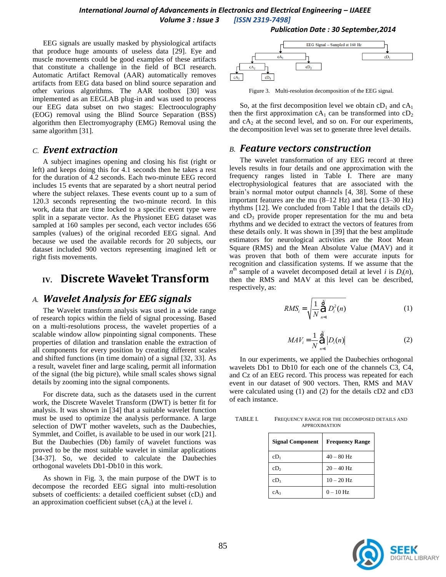EEG signals are usually masked by physiological artifacts that produce huge amounts of useless data [\[29\]](#page-4-16). Eye and muscle movements could be good examples of these artifacts that constitute a challenge in the field of BCI research. Automatic Artifact Removal (AAR) automatically removes artifacts from EEG data based on blind source separation and other various algorithms. The AAR toolbox [\[30\]](#page-4-17) was implemented as an EEGLAB plug-in and was used to process our EEG data subset on two stages: Electrooculography (EOG) removal using the Blind Source Separation (BSS) algorithm then Electromyography (EMG) Removal using the same algorithm [\[31\]](#page-4-18).

## *C. Event extraction*

A subject imagines opening and closing his fist (right or left) and keeps doing this for 4.1 seconds then he takes a rest for the duration of 4.2 seconds. Each two-minute EEG record includes 15 events that are separated by a short neutral period where the subject relaxes. These events count up to a sum of 120.3 seconds representing the two-minute record. In this work, data that are time locked to a specific event type were split in a separate vector. As the Physionet EEG dataset was sampled at 160 samples per second, each vector includes 656 samples (values) of the original recorded EEG signal. And because we used the available records for 20 subjects, our dataset included 900 vectors representing imagined left or right fists movements.

# **IV. Discrete Wavelet Transform**

## *A. Wavelet Analysis for EEG signals*

The Wavelet transform analysis was used in a wide range of research topics within the field of signal processing. Based on a multi-resolutions process, the wavelet properties of a scalable window allow pinpointing signal components. These properties of dilation and translation enable the extraction of all components for every position by creating different scales and shifted functions (in time domain) of a signal [\[32,](#page-4-19) [33\]](#page-4-20). As a result, wavelet finer and large scaling, permit all information of the signal (the big picture), while small scales shows signal details by zooming into the signal components.

For discrete data, such as the datasets used in the current work, the Discrete Wavelet Transform (DWT) is better fit for analysis. It was shown in [\[34\]](#page-4-21) that a suitable wavelet function must be used to optimize the analysis performance. A large selection of DWT mother wavelets, such as the Daubechies, Symmlet, and Coiflet, is available to be used in our work [\[21\]](#page-4-9). But the Daubechies (Db) family of wavelet functions was proved to be the most suitable wavelet in similar applications [\[34-37\]](#page-4-21). So, we decided to calculate the Daubechies orthogonal wavelets Db1-Db10 in this work.

As shown in Fig. 3, the main purpose of the DWT is to decompose the recorded EEG signal into multi-resolution subsets of coefficients: a detailed coefficient subset (cD*i*) and an approximation coefficient subset (cA*i*) at the level *i*.

#### *Publication Date : 30 September,2014*



Figure 3. Multi-resolution decomposition of the EEG signal.

So, at the first decomposition level we obtain  $cD_1$  and  $cA_1$ then the first approximation  $cA_1$  can be transformed into  $cD_2$ and  $cA_2$  at the second level, and so on. For our experiments, the decomposition level was set to generate three level details.

### *B. Feature vectors construction*

The wavelet transformation of any EEG record at three levels results in four details and one approximation with the frequency ranges listed in Table I. There are many electrophysiological features that are associated with the brain's normal motor output channels [\[4,](#page-3-8) [38\]](#page-4-22). Some of these important features are the mu (8–12 Hz) and beta (13–30 Hz) rhythms [\[12\]](#page-4-0). We concluded from Table I that the details  $cD_2$ and  $cD_3$  provide proper representation for the mu and beta rhythms and we decided to extract the vectors of features from these details only. It was shown in [\[39\]](#page-4-23) that the best amplitude estimators for neurological activities are the Root Mean Square (RMS) and the Mean Absolute Value (MAV) and it was proven that both of them were accurate inputs for recognition and classification systems. If we assume that the  $n^{\text{th}}$  sample of a wavelet decomposed detail at level *i* is  $D_i(n)$ , then the RMS and MAV at this level can be described, respectively, as:

$$
RMS_{i} = \sqrt{\frac{1}{N} \sum_{n=1}^{N} D_{i}^{2}(n)}
$$
 (1)

$$
MAV_{i} = \frac{1}{N} \bigg|_{n=1}^{N} |D_{i}(n)|
$$
 (2)

In our experiments, we applied the Daubechies orthogonal wavelets Db1 to Db10 for each one of the channels C3, C4, and Cz of an EEG record. This process was repeated for each event in our dataset of 900 vectors. Then, RMS and MAV were calculated using (1) and (2) for the details cD2 and cD3 of each instance.

| <b>Signal Component</b> | <b>Frequency Range</b> |
|-------------------------|------------------------|
| $cD_1$                  | $40 - 80$ Hz           |
| CD <sub>2</sub>         | $20 - 40$ Hz           |
| $cD_3$                  | $10 - 20$ Hz           |
| $cA_3$                  | $0-10$ Hz              |

TABLE I. FREQUENCY RANGE FOR THE DECOMPOSED DETAILS AND APPROXIMATION

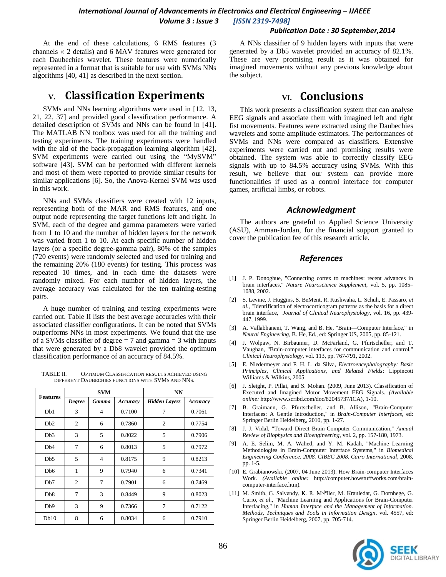#### *Publication Date : 30 September,2014*

At the end of these calculations, 6 RMS features (3 channels  $\times$  2 details) and 6 MAV features were generated for each Daubechies wavelet. These features were numerically represented in a format that is suitable for use with SVMs NNs algorithms [\[40,](#page-4-24) [41\]](#page-4-25) as described in the next section.

# **V. Classification Experiments**

SVMs and NNs learning algorithms were used in [\[12,](#page-4-0) [13,](#page-4-1) [21,](#page-4-9) 22, [37\]](#page-4-26) and provided good classification performance. A detailed description of SVMs and NNs can be found in [\[41\]](#page-4-25). The MATLAB NN toolbox was used for all the training and testing experiments. The training experiments were handled with the aid of the back-propagation learning algorithm [\[42\]](#page-4-27). SVM experiments were carried out using the "MySVM" software [\[43\]](#page-4-28). SVM can be performed with different kernels and most of them were reported to provide similar results for similar applications [\[6\]](#page-3-2). So, the Anova-Kernel SVM was used in this work.

NNs and SVMs classifiers were created with 12 inputs, representing both of the MAR and RMS features, and one output node representing the target functions left and right. In SVM, each of the degree and gamma parameters were varied from 1 to 10 and the number of hidden layers for the network was varied from 1 to 10. At each specific number of hidden layers (or a specific degree-gamma pair), 80% of the samples (720 events) were randomly selected and used for training and the remaining 20% (180 events) for testing. This process was repeated 10 times, and in each time the datasets were randomly mixed. For each number of hidden layers, the average accuracy was calculated for the ten training-testing pairs.

A huge number of training and testing experiments were carried out. Table II lists the best average accuracies with their associated classifier configurations. It can be noted that SVMs outperforms NNs in most experiments. We found that the use of a SVMs classifier of degree  $= 7$  and gamma  $= 3$  with inputs that were generated by a Db8 wavelet provided the optimum classification performance of an accuracy of 84.5%.

TABLE II. OPTIMUM CLASSIFICATION RESULTS ACHIEVED USING DIFFERENT DAUBECHIES FUNCTIONS WITH SVMS AND NNS.

| <b>Features</b>  | <b>SVM</b>     |                | <b>NN</b> |                      |          |
|------------------|----------------|----------------|-----------|----------------------|----------|
|                  | <b>Degree</b>  | <b>Gamma</b>   | Accuracy  | <b>Hidden Layers</b> | Accuracy |
| Db1              | 3              | 4              | 0.7100    | $\overline{7}$       | 0.7061   |
| Db2              | $\overline{c}$ | 6              | 0.7860    | $\overline{c}$       | 0.7754   |
| Db3              | 3              | 5              | 0.8022    | 5                    | 0.7906   |
| Db <sub>4</sub>  | 7              | 6              | 0.8013    | 5                    | 0.7972   |
| D <sub>b</sub> 5 | 5              | $\overline{4}$ | 0.8175    | 9                    | 0.8213   |
| D <sub>b</sub> 6 | 1              | 9              | 0.7940    | 6                    | 0.7341   |
| D <sub>b</sub> 7 | $\overline{c}$ | 7              | 0.7901    | 6                    | 0.7469   |
| D <sub>b</sub> 8 | 7              | 3              | 0.8449    | 9                    | 0.8023   |
| D <sub>b</sub> 9 | 3              | 9              | 0.7366    | 7                    | 0.7122   |
| Db10             | 8              | 6              | 0.8034    | 6                    | 0.7910   |

A NNs classifier of 9 hidden layers with inputs that were generated by a Db5 wavelet provided an accuracy of 82.1%. These are very promising result as it was obtained for imagined movements without any previous knowledge about the subject.

# **VI. Conclusions**

This work presents a classification system that can analyse EEG signals and associate them with imagined left and right fist movements. Features were extracted using the Daubechies wavelets and some amplitude estimators. The performances of SVMs and NNs were compared as classifiers. Extensive experiments were carried out and promising results were obtained. The system was able to correctly classify EEG signals with up to 84.5% accuracy using SVMs. With this result, we believe that our system can provide more functionalities if used as a control interface for computer games, artificial limbs, or robots.

### *Acknowledgment*

The authors are grateful to Applied Science University (ASU), Amman-Jordan, for the financial support granted to cover the publication fee of this research article.

### *References*

- <span id="page-3-0"></span>[1] J. P. Donoghue, "Connecting cortex to machines: recent advances in brain interfaces," *Nature Neuroscience Supplement,* vol. 5, pp. 1085– 1088, 2002.
- [2] S. Levine, J. Huggins, S. BeMent, R. Kushwaha, L. Schuh, E. Passaro*, et al.*, "Identification of electrocorticogram patterns as the basis for a direct brain interface," *Journal of Clinical Neurophysiology,* vol. 16, pp. 439- 447, 1999.
- [3] A. Vallabhaneni, T. Wang, and B. He, "Brain—Computer Interface," in *Neural Engineering*, B. He, Ed., ed: Springer US, 2005, pp. 85-121.
- <span id="page-3-8"></span>[4] J. Wolpaw, N. Birbaumer, D. McFarland, G. Pfurtscheller, and T. Vaughan, "Brain-computer interfaces for communication and control," *Clinical Neurophysiology,* vol. 113, pp. 767-791, 2002.
- <span id="page-3-1"></span>[5] E. Niedermeyer and F. H. L. da Silva, *Electroencephalography: Basic Principles, Clinical Applications, and Related Fields*: Lippincott Williams & Wilkins, 2005.
- <span id="page-3-2"></span>[6] J. Sleight, P. Pillai, and S. Mohan. (2009, June 2013). Classification of Executed and Imagined Motor Movement EEG Signals. *(Available online:* http://www.scribd.com/doc/82045737/ICA)*,* 1-10.
- <span id="page-3-3"></span>[7] B. Graimann, G. Pfurtscheller, and B. Allison, "Brain-Computer Interfaces: A Gentle Introduction," in *Brain-Computer Interfaces*, ed: Springer Berlin Heidelberg, 2010, pp. 1-27.
- <span id="page-3-4"></span>[8] J. J. Vidal, "Toward Direct Brain-Computer Communication," *Annual Review of Biophysics and Bioengineering,* vol. 2, pp. 157-180, 1973.
- <span id="page-3-5"></span>[9] A. E. Selim, M. A. Wahed, and Y. M. Kadah, "Machine Learning Methodologies in Brain-Computer Interface Systems," in *Biomedical Engineering Conference, 2008. CIBEC 2008. Cairo International*, 2008, pp. 1-5.
- <span id="page-3-6"></span>[10] E. Grabianowski. (2007, 04 June 2013). How Brain-computer Interfaces Work. *(Available online:* http://computer.howstuffworks.com/braincomputer-interface.htm).
- <span id="page-3-7"></span>[11] M. Smith, G. Salvendy, K. R. M $\sqrt{$ ller, M. Krauledat, G. Dornhege, G. Curio*, et al.*, "Machine Learning and Applications for Brain-Computer Interfacing," in *Human Interface and the Management of Information. Methods, Techniques and Tools in Information Design*. vol. 4557, ed: Springer Berlin Heidelberg, 2007, pp. 705-714.